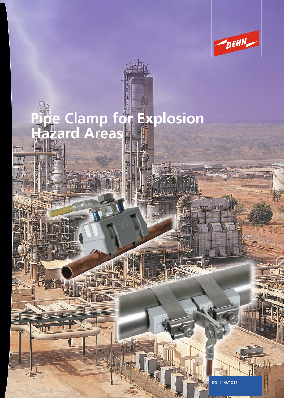

# **Pipe Clamp for Explosion Hazard Areas**

**AIRE!** 

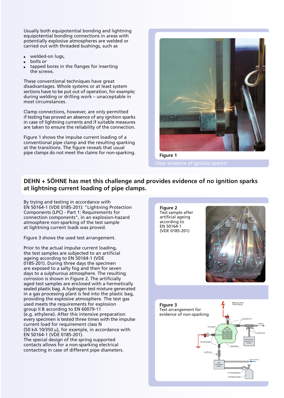Usually both equipotential bonding and lightning equipotential bonding connections in areas with potentially explosive atmospheres are welded or carried out with threaded bushings, such as

- welded-on lugs,
- bolts *or*
- tapped bores in the flanges for inserting  $\bullet$ the screws.

These conventional techniques have great disadvantages. Whole systems or at least system sections have to be put out of operation, for example; during welding or drilling work – unacceptable in most circumstances.

Clamp connections, however, are only permitted if testing has proved an absence of any ignition sparks in case of lightning currents and if suitable measures are taken to ensure the reliability of the connection.

Figure 1 shows the impulse current loading of a conventional pipe clamp and the resulting sparking at the transitions. The figure reveals that usual pipe clamps do not meet the claims for non-sparking.



**Figure 1**

# **DEHN + SÖHNE has met this challenge and provides evidence of no ignition sparks at lightning current loading of pipe clamps.**

By trying and testing in accordance with EN 50164-1 (VDE 0185-201): "Lightning Protection Components (LPC) - Part 1: Requirements for connection components", in an explosion-hazard atmosphere non-sparking of the test sample at lightning current loads was proved.

Figure 3 shows the used test arrangement.

Prior to the actual impulse current loading, the test samples are subjected to an artificial ageing according to EN 50164-1 (VDE 0185-201). During three days the specimen are exposed to a salty fog and then for seven days to a sulphurous atmosphere. The resulting corrosion is shown in Figure 2. The artificially aged test samples are enclosed with a hermetically sealed plastic bag. A hydrogen test mixture generated in a gas processing plant is fed into the plastic bag, providing the explosive atmosphere. The test gas used meets the requirements for explosion group II B according to EN 60079-11 (e.g. ethylene). After this intensive preparation every specimen is tested three times with the impulse current load for requirement class N (50 kA 10/350  $\mu$ ), for example, in accordance with EN 50164-1 (VDE 0185-201). The special design of the spring supported contacts allows for a non-sparking electrical contacting in case of different pipe diameters.

**Figure 2** Test sample after artificial ageing according to EN 50164-1 (VDE 0185-201)



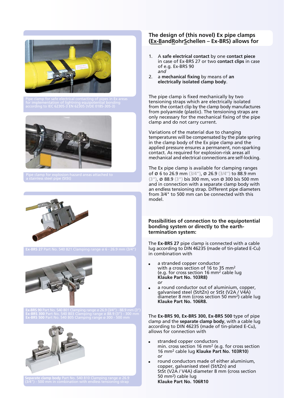







**Ex-BRS 90** Part No. 540 801 Clamping range ø 26.9 (3/4") - 88.9 mm (3") **Ex-BRS 500** Part No. 540 805 Clamping range ø 300 - 500 mm



## **The design of (this novel) Ex pipe clamps (Ex-BandRohrSchellen – Ex-BRS) allows for**

- 1. A **safe electrical contact** by one **contact piece** in case of Ex-BRS 27 or two **contact clips** in case of e.g. Ex-BRS 90 *and*
- 2. a **mechanical fixing** by means of **an electrically isolated clamp body**.

The pipe clamp is fixed mechanically by two tensioning straps which are electrically isolated from the contact clip by the clamp body manufactures from polyamide (plastic). The tensioning straps are only necessary for the mechanical fixing of the pipe clamp and do not carry current.

Variations of the material due to changing temperatures will be compensated by the plate spring in the clamp body of the Ex pipe clamp and the applied pressure ensures a permanent, non-sparking contact. As required for explosion-risk areas all mechanical and electrical connections are self-locking.

The Ex pipe clamp is available for clamping ranges of ø 6 to 26.9 mm (3/4"), ø 26.9 (3/4'') to 88.9 mm (3"), ø 88.9 (3") bis 300 mm, von ø 300 bis 500 mm and in connection with a separate clamp body with an endless tensioning strap. Different pipe diameters from 3/4" to 500 mm can be connected with this model.

#### **Possibilities of connection to the equipotential bonding system or directly to the earthtermination system:**

The **Ex-BRS 27** pipe clamp is connected with a cable lug according to DIN 46235 (made of tin-plated E-Cu) in combination with

- a stranded copper conductor with a cross section of 16 to 35 mm2 (e.g. for cross section 16 mm2 cable lug **Klauke Part No. 103R8)** *or*
- a round conductor out of aluminium, copper,  $\bullet$ galvanised steel (St/tZn) or StSt (V2A / V4A) diameter 8 mm (cross section 50 mm2) cable lug **Klauke Part No. 106R8.**

The **Ex-BRS 90, Ex-BRS 300, Ex-BRS 500** type of pipe clamp and the **separate clamp body**, with a cable lug according to DIN 46235 (made of tin-plated E-Cu), allows for connection with

- stranded copper conductors min. cross section 16 mm2 (e.g. for cross section 16 mm2 cable lug **Klauke Part No. 103R10**) *or*
- round conductors made of either aluminium, copper, galvanised steel (St/tZn) and StSt (V2A / V4A) diameter 8 mm (cross section 50 mm2) cable lug **Klauke Part No. 106R10**